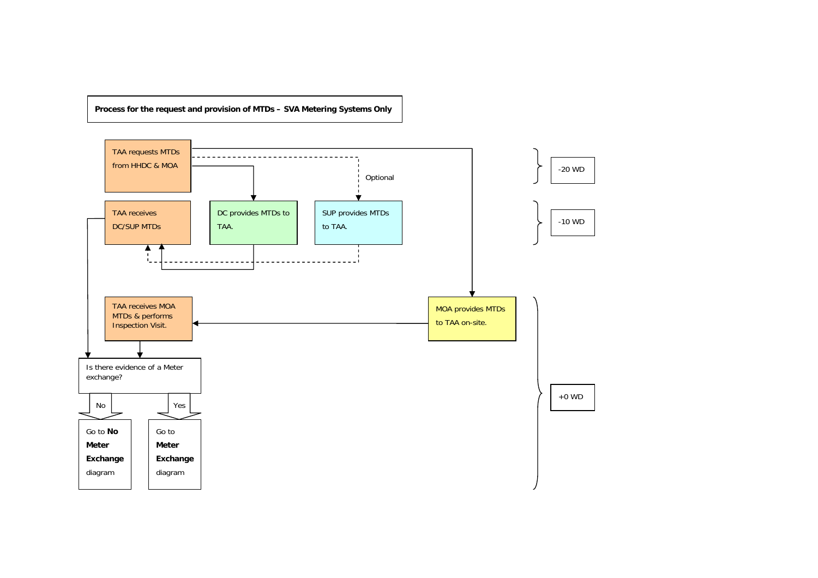**Process for the request and provision of MTDs – SVA Metering Systems Only** 

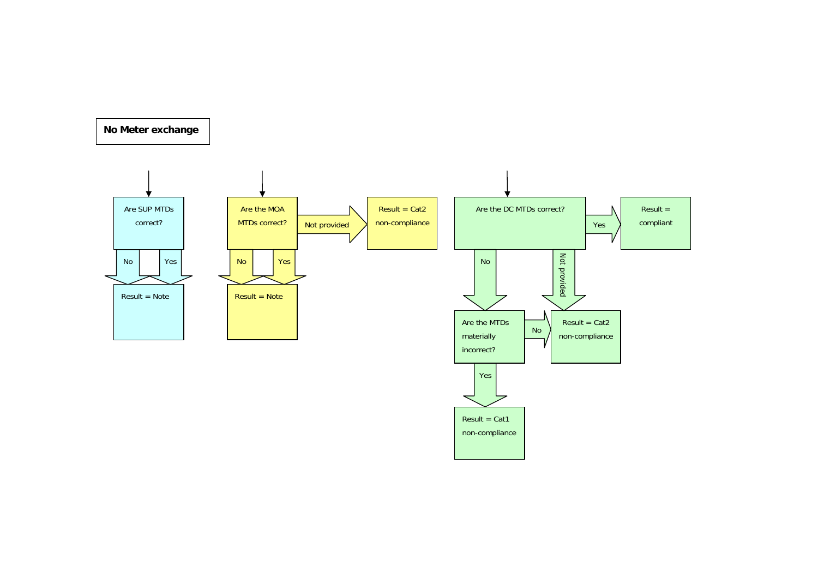